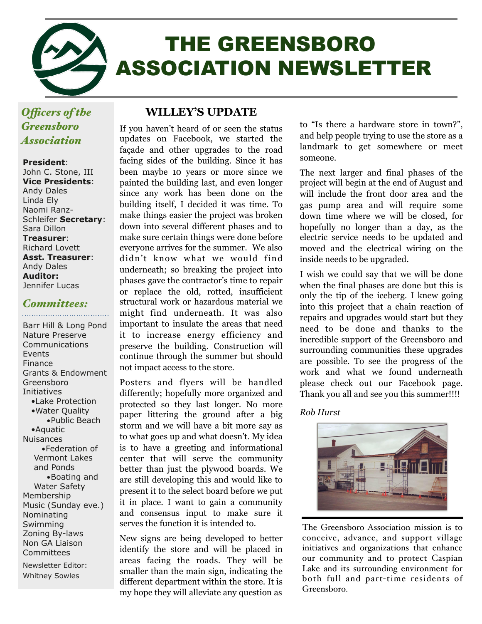

# THE GREENSBORO ASSOCIATION NEWSLETTER

## *Ofcers of the Greensboro Association*

#### **President**:

John C. Stone, III **Vice Presidents**: Andy Dales Linda Ely Naomi Ranz-Schleifer **Secretary**: Sara Dillon **Treasurer**: Richard Lovett **Asst. Treasurer**: Andy Dales **Auditor:**  Jennifer Lucas

# *Committees:*

Barr Hill & Long Pond Nature Preserve Communications Events Finance Grants & Endowment Greensboro Initiatives •Lake Protection •Water Quality •Public Beach •Aquatic Nuisances •Federation of Vermont Lakes and Ponds •Boating and Water Safety Membership Music (Sunday eve.) Nominating Swimming Zoning By-laws Non GA Liaison **Committees** 

Newsletter Editor: Whitney Sowles

#### **WILLEY'S UPDATE**

If you haven't heard of or seen the status updates on Facebook, we started the façade and other upgrades to the road facing sides of the building. Since it has been maybe 10 years or more since we painted the building last, and even longer since any work has been done on the building itself, I decided it was time. To make things easier the project was broken down into several different phases and to make sure certain things were done before everyone arrives for the summer. We also didn't know what we would find underneath; so breaking the project into phases gave the contractor's time to repair or replace the old, rotted, insufficient structural work or hazardous material we might find underneath. It was also important to insulate the areas that need it to increase energy efficiency and preserve the building. Construction will continue through the summer but should not impact access to the store.

Posters and flyers will be handled differently; hopefully more organized and protected so they last longer. No more paper littering the ground after a big storm and we will have a bit more say as to what goes up and what doesn't. My idea is to have a greeting and informational center that will serve the community better than just the plywood boards. We are still developing this and would like to present it to the select board before we put it in place. I want to gain a community and consensus input to make sure it serves the function it is intended to.

New signs are being developed to better identify the store and will be placed in areas facing the roads. They will be smaller than the main sign, indicating the different department within the store. It is my hope they will alleviate any question as

to "Is there a hardware store in town?", and help people trying to use the store as a landmark to get somewhere or meet someone.

The next larger and final phases of the project will begin at the end of August and will include the front door area and the gas pump area and will require some down time where we will be closed, for hopefully no longer than a day, as the electric service needs to be updated and moved and the electrical wiring on the inside needs to be upgraded.

I wish we could say that we will be done when the final phases are done but this is only the tip of the iceberg. I knew going into this project that a chain reaction of repairs and upgrades would start but they need to be done and thanks to the incredible support of the Greensboro and surrounding communities these upgrades are possible. To see the progress of the work and what we found underneath please check out our Facebook page. Thank you all and see you this summer!!!!

#### *Rob Hurst*



The Greensboro Association mission is to conceive, advance, and support village initiatives and organizations that enhance our community and to protect Caspian Lake and its surrounding environment for both full and part-time residents of Greensboro.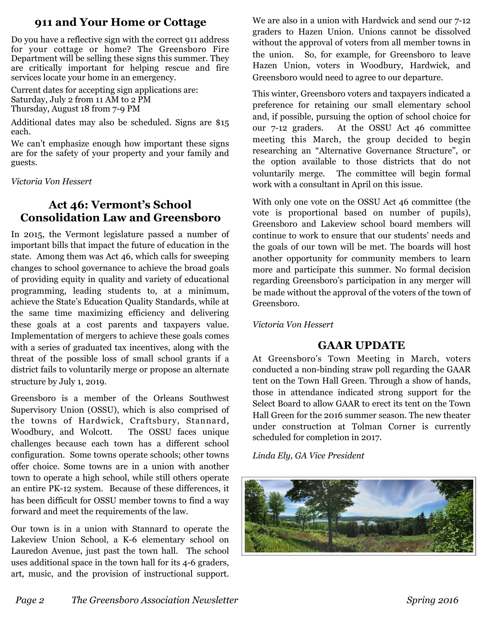#### **911 and Your Home or Cottage**

Do you have a reflective sign with the correct 911 address for your cottage or home? The Greensboro Fire Department will be selling these signs this summer. They are critically important for helping rescue and fire services locate your home in an emergency.

Current dates for accepting sign applications are: Saturday, July 2 from 11 AM to 2 PM Thursday, August 18 from 7-9 PM

Additional dates may also be scheduled. Signs are \$15 each.

We can't emphasize enough how important these signs are for the safety of your property and your family and guests.

*Victoria Von Hessert*

# **Act 46: Vermont's School Consolidation Law and Greensboro**

In 2015, the Vermont legislature passed a number of important bills that impact the future of education in the state. Among them was Act 46, which calls for sweeping changes to school governance to achieve the broad goals of providing equity in quality and variety of educational programming, leading students to, at a minimum, achieve the State's Education Quality Standards, while at the same time maximizing efficiency and delivering these goals at a cost parents and taxpayers value. Implementation of mergers to achieve these goals comes with a series of graduated tax incentives, along with the threat of the possible loss of small school grants if a district fails to voluntarily merge or propose an alternate structure by July 1, 2019.

Greensboro is a member of the Orleans Southwest Supervisory Union (OSSU), which is also comprised of the towns of Hardwick, Craftsbury, Stannard, Woodbury, and Wolcott. The OSSU faces unique challenges because each town has a different school configuration. Some towns operate schools; other towns offer choice. Some towns are in a union with another town to operate a high school, while still others operate an entire PK-12 system. Because of these differences, it has been difficult for OSSU member towns to find a way forward and meet the requirements of the law.

Our town is in a union with Stannard to operate the Lakeview Union School, a K-6 elementary school on Lauredon Avenue, just past the town hall. The school uses additional space in the town hall for its 4-6 graders, art, music, and the provision of instructional support.

We are also in a union with Hardwick and send our 7-12 graders to Hazen Union. Unions cannot be dissolved without the approval of voters from all member towns in the union. So, for example, for Greensboro to leave Hazen Union, voters in Woodbury, Hardwick, and Greensboro would need to agree to our departure.

This winter, Greensboro voters and taxpayers indicated a preference for retaining our small elementary school and, if possible, pursuing the option of school choice for our 7-12 graders. At the OSSU Act 46 committee meeting this March, the group decided to begin researching an "Alternative Governance Structure", or the option available to those districts that do not voluntarily merge. The committee will begin formal work with a consultant in April on this issue.

With only one vote on the OSSU Act 46 committee (the vote is proportional based on number of pupils), Greensboro and Lakeview school board members will continue to work to ensure that our students' needs and the goals of our town will be met. The boards will host another opportunity for community members to learn more and participate this summer. No formal decision regarding Greensboro's participation in any merger will be made without the approval of the voters of the town of Greensboro.

*Victoria Von Hessert* 

#### **GAAR UPDATE**

At Greensboro's Town Meeting in March, voters conducted a non-binding straw poll regarding the GAAR tent on the Town Hall Green. Through a show of hands, those in attendance indicated strong support for the Select Board to allow GAAR to erect its tent on the Town Hall Green for the 2016 summer season. The new theater under construction at Tolman Corner is currently scheduled for completion in 2017.

*Linda Ely, GA Vice President*

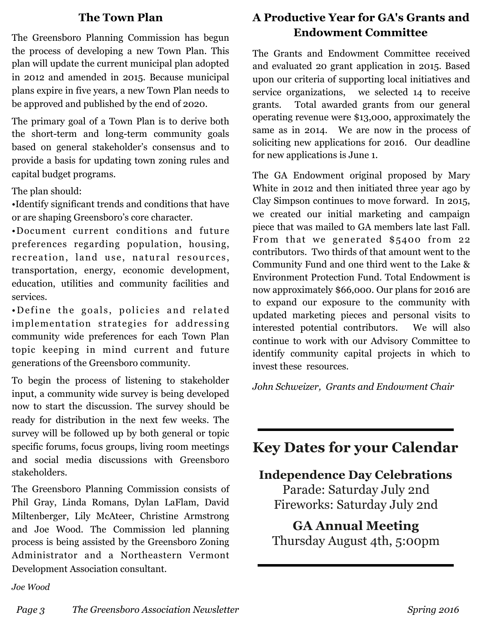#### **The Town Plan**

The Greensboro Planning Commission has begun the process of developing a new Town Plan. This plan will update the current municipal plan adopted in 2012 and amended in 2015. Because municipal plans expire in five years, a new Town Plan needs to be approved and published by the end of 2020.

The primary goal of a Town Plan is to derive both the short-term and long-term community goals based on general stakeholder's consensus and to provide a basis for updating town zoning rules and capital budget programs.

#### The plan should:

•Identify significant trends and conditions that have or are shaping Greensboro's core character.

•Document current conditions and future preferences regarding population, housing, recreation, land use, natural resources, transportation, energy, economic development, education, utilities and community facilities and services.

• Define the goals, policies and related implementation strategies for addressing community wide preferences for each Town Plan topic keeping in mind current and future generations of the Greensboro community.

To begin the process of listening to stakeholder input, a community wide survey is being developed now to start the discussion. The survey should be ready for distribution in the next few weeks. The survey will be followed up by both general or topic specific forums, focus groups, living room meetings and social media discussions with Greensboro stakeholders.

The Greensboro Planning Commission consists of Phil Gray, Linda Romans, Dylan LaFlam, David Miltenberger, Lily McAteer, Christine Armstrong and Joe Wood. The Commission led planning process is being assisted by the Greensboro Zoning Administrator and a Northeastern Vermont Development Association consultant.

## **A Productive Year for GA's Grants and Endowment Committee**

The Grants and Endowment Committee received and evaluated 20 grant application in 2015. Based upon our criteria of supporting local initiatives and service organizations, we selected 14 to receive grants. Total awarded grants from our general operating revenue were \$13,000, approximately the same as in 2014. We are now in the process of soliciting new applications for 2016. Our deadline for new applications is June 1.

The GA Endowment original proposed by Mary White in 2012 and then initiated three year ago by Clay Simpson continues to move forward. In 2015, we created our initial marketing and campaign piece that was mailed to GA members late last Fall. From that we generated \$5400 from 22 contributors. Two thirds of that amount went to the Community Fund and one third went to the Lake & Environment Protection Fund. Total Endowment is now approximately \$66,000. Our plans for 2016 are to expand our exposure to the community with updated marketing pieces and personal visits to interested potential contributors. We will also continue to work with our Advisory Committee to identify community capital projects in which to invest these resources.

*John Schweizer, Grants and Endowment Chair* 

# **Key Dates for your Calendar**

#### **Independence Day Celebrations**

Parade: Saturday July 2nd Fireworks: Saturday July 2nd

## **GA Annual Meeting**  Thursday August 4th, 5:00pm

*Joe Wood*